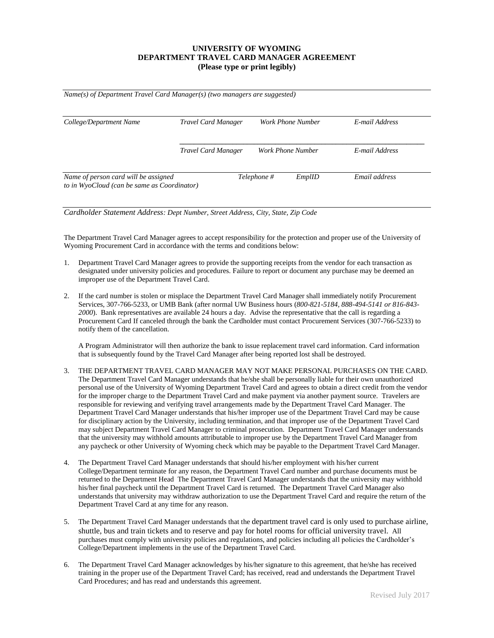# **UNIVERSITY OF WYOMING DEPARTMENT TRAVEL CARD MANAGER AGREEMENT (Please type or print legibly)**

| College/Department Name              | <b>Travel Card Manager</b> | Work Phone Number     | E-mail Address |
|--------------------------------------|----------------------------|-----------------------|----------------|
|                                      | <b>Travel Card Manager</b> | Work Phone Number     | E-mail Address |
| Name of person card will be assigned |                            | Telephone #<br>EmplID | Email address  |

*Cardholder Statement Address: Dept Number, Street Address, City, State, Zip Code*

The Department Travel Card Manager agrees to accept responsibility for the protection and proper use of the University of Wyoming Procurement Card in accordance with the terms and conditions below:

- 1. Department Travel Card Manager agrees to provide the supporting receipts from the vendor for each transaction as designated under university policies and procedures. Failure to report or document any purchase may be deemed an improper use of the Department Travel Card.
- 2. If the card number is stolen or misplace the Department Travel Card Manager shall immediately notify Procurement Services, 307-766-5233, or UMB Bank (after normal UW Business hours (*800-821-5184, 888-494-5141 or 816-843- 2000*). Bank representatives are available 24 hours a day. Advise the representative that the call is regarding a Procurement Card If canceled through the bank the Cardholder must contact Procurement Services (307-766-5233) to notify them of the cancellation.

A Program Administrator will then authorize the bank to issue replacement travel card information. Card information that is subsequently found by the Travel Card Manager after being reported lost shall be destroyed.

- 3. THE DEPARTMENT TRAVEL CARD MANAGER MAY NOT MAKE PERSONAL PURCHASES ON THE CARD. The Department Travel Card Manager understands that he/she shall be personally liable for their own unauthorized personal use of the University of Wyoming Department Travel Card and agrees to obtain a direct credit from the vendor for the improper charge to the Department Travel Card and make payment via another payment source. Travelers are responsible for reviewing and verifying travel arrangements made by the Department Travel Card Manager. The Department Travel Card Manager understands that his/her improper use of the Department Travel Card may be cause for disciplinary action by the University, including termination, and that improper use of the Department Travel Card may subject Department Travel Card Manager to criminal prosecution. Department Travel Card Manager understands that the university may withhold amounts attributable to improper use by the Department Travel Card Manager from any paycheck or other University of Wyoming check which may be payable to the Department Travel Card Manager.
- 4. The Department Travel Card Manager understands that should his/her employment with his/her current College/Department terminate for any reason, the Department Travel Card number and purchase documents must be returned to the Department Head The Department Travel Card Manager understands that the university may withhold his/her final paycheck until the Department Travel Card is returned. The Department Travel Card Manager also understands that university may withdraw authorization to use the Department Travel Card and require the return of the Department Travel Card at any time for any reason.
- 5. The Department Travel Card Manager understands that the department travel card is only used to purchase airline, shuttle, bus and train tickets and to reserve and pay for hotel rooms for official university travel. All purchases must comply with university policies and regulations, and policies including all policies the Cardholder's College/Department implements in the use of the Department Travel Card.
- 6. The Department Travel Card Manager acknowledges by his/her signature to this agreement, that he/she has received training in the proper use of the Department Travel Card; has received, read and understands the Department Travel Card Procedures; and has read and understands this agreement.